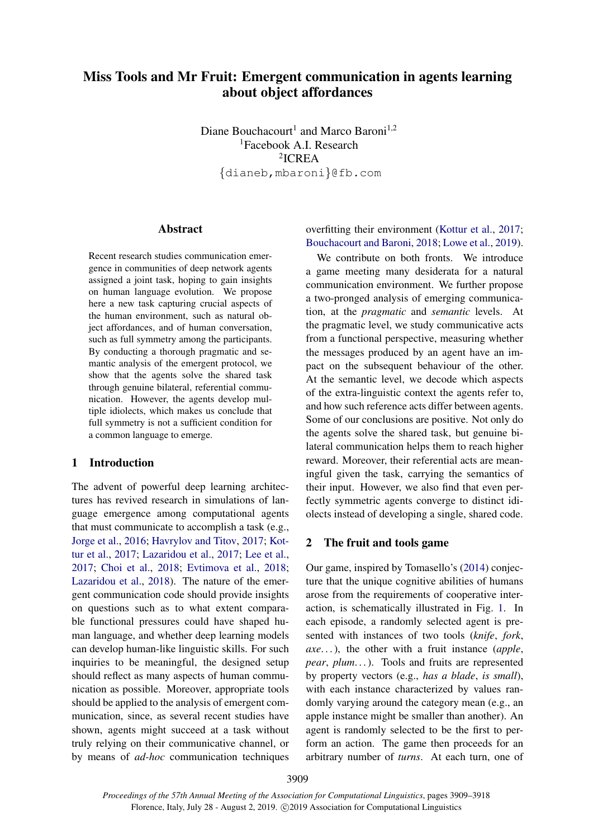# <span id="page-0-2"></span>Miss Tools and Mr Fruit: Emergent communication in agents learning about object affordances

Diane Bouchacourt<sup>1</sup> and Marco Baroni<sup>1,2</sup> <sup>1</sup>Facebook A.I. Research 2 ICREA {dianeb,mbaroni}@fb.com

#### **Abstract**

Recent research studies communication emergence in communities of deep network agents assigned a joint task, hoping to gain insights on human language evolution. We propose here a new task capturing crucial aspects of the human environment, such as natural object affordances, and of human conversation, such as full symmetry among the participants. By conducting a thorough pragmatic and semantic analysis of the emergent protocol, we show that the agents solve the shared task through genuine bilateral, referential communication. However, the agents develop multiple idiolects, which makes us conclude that full symmetry is not a sufficient condition for a common language to emerge.

# <span id="page-0-0"></span>1 Introduction

The advent of powerful deep learning architectures has revived research in simulations of language emergence among computational agents that must communicate to accomplish a task (e.g., [Jorge et al.,](#page-8-0) [2016;](#page-8-0) [Havrylov and Titov,](#page-8-1) [2017;](#page-8-1) [Kot](#page-8-2)[tur et al.,](#page-8-2) [2017;](#page-8-2) [Lazaridou et al.,](#page-8-3) [2017;](#page-8-3) [Lee et al.,](#page-8-4) [2017;](#page-8-4) [Choi et al.,](#page-8-5) [2018;](#page-8-5) [Evtimova et al.,](#page-8-6) [2018;](#page-8-6) [Lazaridou et al.,](#page-8-7) [2018\)](#page-8-7). The nature of the emergent communication code should provide insights on questions such as to what extent comparable functional pressures could have shaped human language, and whether deep learning models can develop human-like linguistic skills. For such inquiries to be meaningful, the designed setup should reflect as many aspects of human communication as possible. Moreover, appropriate tools should be applied to the analysis of emergent communication, since, as several recent studies have shown, agents might succeed at a task without truly relying on their communicative channel, or by means of *ad-hoc* communication techniques overfitting their environment [\(Kottur et al.,](#page-8-2) [2017;](#page-8-2) [Bouchacourt and Baroni,](#page-8-8) [2018;](#page-8-8) [Lowe et al.,](#page-9-0) [2019\)](#page-9-0).

We contribute on both fronts. We introduce a game meeting many desiderata for a natural communication environment. We further propose a two-pronged analysis of emerging communication, at the *pragmatic* and *semantic* levels. At the pragmatic level, we study communicative acts from a functional perspective, measuring whether the messages produced by an agent have an impact on the subsequent behaviour of the other. At the semantic level, we decode which aspects of the extra-linguistic context the agents refer to, and how such reference acts differ between agents. Some of our conclusions are positive. Not only do the agents solve the shared task, but genuine bilateral communication helps them to reach higher reward. Moreover, their referential acts are meaningful given the task, carrying the semantics of their input. However, we also find that even perfectly symmetric agents converge to distinct idiolects instead of developing a single, shared code.

#### <span id="page-0-1"></span>2 The fruit and tools game

Our game, inspired by Tomasello's [\(2014\)](#page-9-1) conjecture that the unique cognitive abilities of humans arose from the requirements of cooperative interaction, is schematically illustrated in Fig. [1.](#page-1-0) In each episode, a randomly selected agent is presented with instances of two tools (*knife*, *fork*, *axe*. . . ), the other with a fruit instance (*apple*, *pear*, *plum*. . . ). Tools and fruits are represented by property vectors (e.g., *has a blade*, *is small*), with each instance characterized by values randomly varying around the category mean (e.g., an apple instance might be smaller than another). An agent is randomly selected to be the first to perform an action. The game then proceeds for an arbitrary number of *turns*. At each turn, one of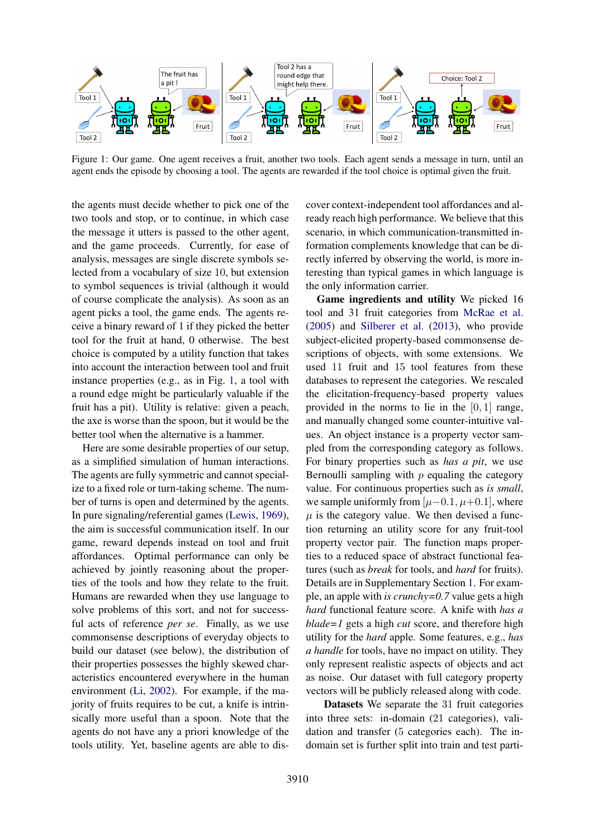<span id="page-1-0"></span>

Figure 1: Our game. One agent receives a fruit, another two tools. Each agent sends a message in turn, until an agent ends the episode by choosing a tool. The agents are rewarded if the tool choice is optimal given the fruit.

the agents must decide whether to pick one of the two tools and stop, or to continue, in which case the message it utters is passed to the other agent, and the game proceeds. Currently, for ease of analysis, messages are single discrete symbols selected from a vocabulary of size 10, but extension to symbol sequences is trivial (although it would of course complicate the analysis). As soon as an agent picks a tool, the game ends. The agents receive a binary reward of 1 if they picked the better tool for the fruit at hand, 0 otherwise. The best choice is computed by a utility function that takes into account the interaction between tool and fruit instance properties (e.g., as in Fig. [1,](#page-1-0) a tool with a round edge might be particularly valuable if the fruit has a pit). Utility is relative: given a peach, the axe is worse than the spoon, but it would be the better tool when the alternative is a hammer.

Here are some desirable properties of our setup, as a simplified simulation of human interactions. The agents are fully symmetric and cannot specialize to a fixed role or turn-taking scheme. The number of turns is open and determined by the agents. In pure signaling/referential games [\(Lewis,](#page-8-9) [1969\)](#page-8-9), the aim is successful communication itself. In our game, reward depends instead on tool and fruit affordances. Optimal performance can only be achieved by jointly reasoning about the properties of the tools and how they relate to the fruit. Humans are rewarded when they use language to solve problems of this sort, and not for successful acts of reference *per se*. Finally, as we use commonsense descriptions of everyday objects to build our dataset (see below), the distribution of their properties possesses the highly skewed characteristics encountered everywhere in the human environment [\(Li,](#page-9-2) [2002\)](#page-9-2). For example, if the majority of fruits requires to be cut, a knife is intrinsically more useful than a spoon. Note that the agents do not have any a priori knowledge of the tools utility. Yet, baseline agents are able to discover context-independent tool affordances and already reach high performance. We believe that this scenario, in which communication-transmitted information complements knowledge that can be directly inferred by observing the world, is more interesting than typical games in which language is the only information carrier.

Game ingredients and utility We picked 16 tool and 31 fruit categories from [McRae et al.](#page-9-3) [\(2005\)](#page-9-3) and [Silberer et al.](#page-9-4) [\(2013\)](#page-9-4), who provide subject-elicited property-based commonsense descriptions of objects, with some extensions. We used 11 fruit and 15 tool features from these databases to represent the categories. We rescaled the elicitation-frequency-based property values provided in the norms to lie in the  $[0, 1]$  range, and manually changed some counter-intuitive values. An object instance is a property vector sampled from the corresponding category as follows. For binary properties such as *has a pit*, we use Bernoulli sampling with  $p$  equaling the category value. For continuous properties such as *is small*, we sample uniformly from  $[\mu-0.1, \mu+0.1]$ , where  $\mu$  is the category value. We then devised a function returning an utility score for any fruit-tool property vector pair. The function maps properties to a reduced space of abstract functional features (such as *break* for tools, and *hard* for fruits). Details are in Supplementary Section [1.](#page-0-0) For example, an apple with *is crunchy=0.7* value gets a high *hard* functional feature score. A knife with *has a blade=1* gets a high *cut* score, and therefore high utility for the *hard* apple. Some features, e.g., *has a handle* for tools, have no impact on utility. They only represent realistic aspects of objects and act as noise. Our dataset with full category property vectors will be publicly released along with code.

Datasets We separate the 31 fruit categories into three sets: in-domain (21 categories), validation and transfer (5 categories each). The indomain set is further split into train and test parti-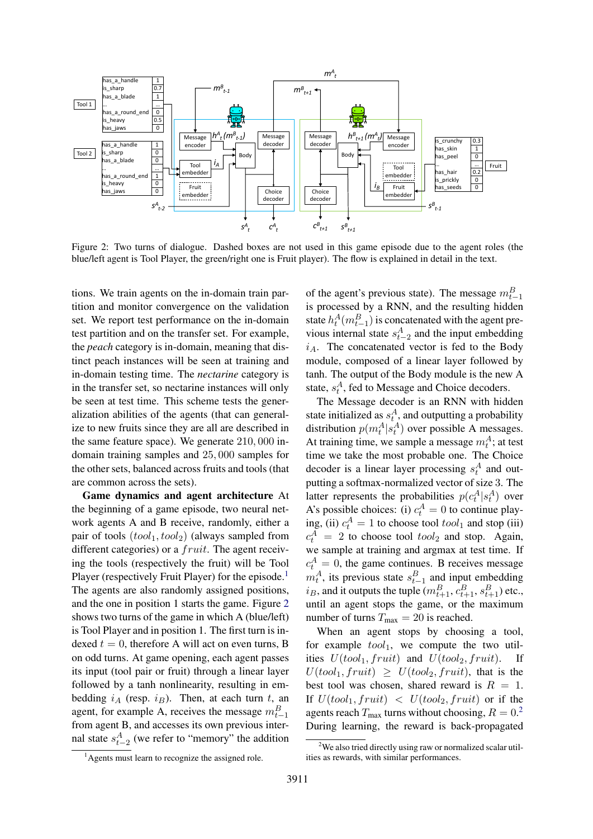<span id="page-2-1"></span>

Figure 2: Two turns of dialogue. Dashed boxes are not used in this game episode due to the agent roles (the blue/left agent is Tool Player, the green/right one is Fruit player). The flow is explained in detail in the text.

tions. We train agents on the in-domain train partition and monitor convergence on the validation set. We report test performance on the in-domain test partition and on the transfer set. For example, the *peach* category is in-domain, meaning that distinct peach instances will be seen at training and in-domain testing time. The *nectarine* category is in the transfer set, so nectarine instances will only be seen at test time. This scheme tests the generalization abilities of the agents (that can generalize to new fruits since they are all are described in the same feature space). We generate 210, 000 indomain training samples and 25, 000 samples for the other sets, balanced across fruits and tools (that are common across the sets).

Game dynamics and agent architecture At the beginning of a game episode, two neural network agents A and B receive, randomly, either a pair of tools  $(tool<sub>1</sub>, tool<sub>2</sub>)$  (always sampled from different categories) or a *fruit*. The agent receiving the tools (respectively the fruit) will be Tool Player (respectively Fruit Player) for the episode.<sup>[1](#page-2-0)</sup> The agents are also randomly assigned positions, and the one in position 1 starts the game. Figure [2](#page-2-1) shows two turns of the game in which A (blue/left) is Tool Player and in position 1. The first turn is indexed  $t = 0$ , therefore A will act on even turns, B on odd turns. At game opening, each agent passes its input (tool pair or fruit) through a linear layer followed by a tanh nonlinearity, resulting in embedding  $i_A$  (resp.  $i_B$ ). Then, at each turn t, an agent, for example A, receives the message  $m_{t-1}^B$ from agent B, and accesses its own previous internal state  $s_{t-2}^A$  (we refer to "memory" the addition

of the agent's previous state). The message  $m_{t-1}^B$ is processed by a RNN, and the resulting hidden state  $h_t^A(m_{t-1}^B)$  is concatenated with the agent previous internal state  $s_{t-2}^A$  and the input embedding  $i_A$ . The concatenated vector is fed to the Body module, composed of a linear layer followed by tanh. The output of the Body module is the new A state,  $s_t^A$ , fed to Message and Choice decoders.

The Message decoder is an RNN with hidden state initialized as  $s_t^A$ , and outputting a probability distribution  $p(m_t^A | s_t^A)$  over possible A messages. At training time, we sample a message  $m_t^A$ ; at test time we take the most probable one. The Choice decoder is a linear layer processing  $s_t^A$  and outputting a softmax-normalized vector of size 3. The latter represents the probabilities  $p(c_t^A | s_t^A)$  over A's possible choices: (i)  $c_t^A = 0$  to continue playing, (ii)  $c_t^A = 1$  to choose tool  $tool_1$  and stop (iii)  $c_t^A = 2$  to choose tool  $tool_2$  and stop. Again, we sample at training and argmax at test time. If  $c_t^A = 0$ , the game continues. B receives message  $m_t^A$ , its previous state  $s_{t-1}^B$  and input embedding  $i_B$ , and it outputs the tuple  $(m_{t+1}^B, c_{t+1}^B, s_{t+1}^B)$  etc., until an agent stops the game, or the maximum number of turns  $T_{\text{max}} = 20$  is reached.

When an agent stops by choosing a tool, for example  $tool_1$ , we compute the two utilities  $U(tool<sub>1</sub>, fruit)$  and  $U(tool<sub>2</sub>, fruit)$ . If  $U(tool<sub>1</sub>, fruit) \geq U(tool<sub>2</sub>, fruit)$ , that is the best tool was chosen, shared reward is  $R = 1$ . If  $U(tool<sub>1</sub>, fruit) < U(tool<sub>2</sub>, fruit)$  or if the agents reach  $T_{\text{max}}$  turns without choosing,  $R = 0$ <sup>[2](#page-2-2)</sup> During learning, the reward is back-propagated

<span id="page-2-0"></span><sup>&</sup>lt;sup>1</sup> Agents must learn to recognize the assigned role.

<span id="page-2-2"></span><sup>&</sup>lt;sup>2</sup>We also tried directly using raw or normalized scalar utilities as rewards, with similar performances.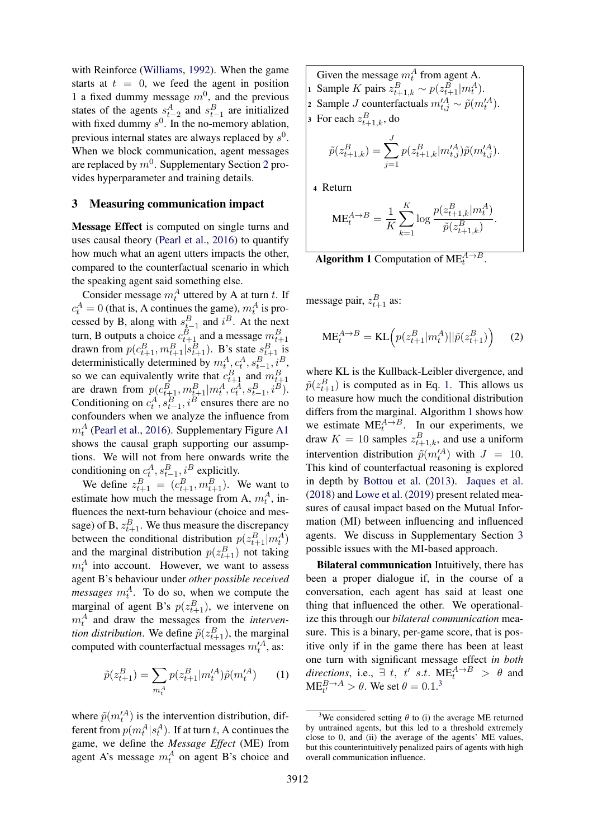with Reinforce [\(Williams,](#page-9-5) [1992\)](#page-9-5). When the game starts at  $t = 0$ , we feed the agent in position 1 a fixed dummy message  $m^0$ , and the previous states of the agents  $s_{t-2}^A$  and  $s_{t-1}^B$  are initialized with fixed dummy  $s^0$ . In the no-memory ablation, previous internal states are always replaced by  $s^0$ . When we block communication, agent messages are replaced by  $m^0$ . Supplementary Section [2](#page-0-1) provides hyperparameter and training details.

#### <span id="page-3-2"></span>3 Measuring communication impact

Message Effect is computed on single turns and uses causal theory [\(Pearl et al.,](#page-9-6) [2016\)](#page-9-6) to quantify how much what an agent utters impacts the other, compared to the counterfactual scenario in which the speaking agent said something else.

Consider message  $m_t^A$  uttered by A at turn t. If  $c_t^A = 0$  (that is, A continues the game),  $m_t^A$  is prot cessed by B, along with  $s_{t-1}^B$  and  $i^B$ . At the next turn, B outputs a choice  $c_{t+1}^B$  and a message  $m_{t+1}^B$ drawn from  $p(c_{t+1}^B, m_{t+1}^B | s_{t+1}^B)$ . B's state  $s_{t+1}^B$  is deterministically determined by  $m_t^A$ ,  $c_t^A$ ,  $s_{t-1}^B$ ,  $i^B$ , so we can equivalently write that  $c_{t+1}^B$  and  $m_{t+1}^B$ are drawn from  $p(c_{t+1}^B, m_{t+1}^B | m_t^A, c_t^A, s_{t-1}^B, i^B)$ . Conditioning on  $c_t^A$ ,  $s_{t-1}^B$ ,  $i^B$  ensures there are no confounders when we analyze the influence from  $m_t^A$  [\(Pearl et al.,](#page-9-6) [2016\)](#page-9-6). Supplementary Figure [A1](#page-0-2) shows the causal graph supporting our assumptions. We will not from here onwards write the conditioning on  $c_t^A$ ,  $s_{t-1}^B$ ,  $i^B$  explicitly.

We define  $z_{t+1}^B = (c_{t+1}^B, m_{t+1}^B)$ . We want to estimate how much the message from A,  $m_t^A$ , influences the next-turn behaviour (choice and message) of B,  $z_{t+1}^B$ . We thus measure the discrepancy between the conditional distribution  $p(z_{t+1}^B|m_t^A)$ and the marginal distribution  $p(z_{t+1}^B)$  not taking  $m_t^A$  into account. However, we want to assess agent B's behaviour under *other possible received messages*  $m_t^A$ . To do so, when we compute the marginal of agent B's  $p(z_{t+1}^B)$ , we intervene on  $m_t^A$  and draw the messages from the *intervention distribution*. We define  $\tilde{p}(z_{t+1}^B)$ , the marginal computed with counterfactual messages  $m_t^{\prime A}$ , as:

$$
\tilde{p}(z_{t+1}^B) = \sum_{m_t^A} p(z_{t+1}^B | m_t^{\prime A}) \tilde{p}(m_t^{\prime A}) \qquad (1)
$$

where  $\tilde{p}(m_t^{\prime A})$  is the intervention distribution, different from  $p(m_t^A|s_t^A)$ . If at turn t, A continues the game, we define the *Message Effect* (ME) from agent A's message  $m_t^A$  on agent B's choice and

- Given the message  $m_t^A$  from agent A. 1 Sample K pairs  $z_{t+1,k}^B \sim p(z_{t+1}^B|m_t^A)$ . 2 Sample *J* counterfactuals  $m'^{A}_{t,j} \sim \tilde{p}(m'^{A}_{t}).$ 3 For each  $z_{t+1,k}^B$ , do
	- $\tilde{p}(z_{t+1,k}^{B}) = \sum$ J  $j=1$  $p(z_{t+1,k}^B|m_{t,j}^{\prime A})\tilde{p}(m_{t,j}^{\prime A}).$

<sup>4</sup> Return

$$
ME_t^{A \to B} = \frac{1}{K} \sum_{k=1}^K \log \frac{p(z_{t+1,k}^B|m_t^A)}{\tilde{p}(z_{t+1,k}^B)}.
$$

<span id="page-3-1"></span>**Algorithm 1** Computation of  $ME<sub>t</sub><sup>A\rightarrow B</sup>$ .

message pair,  $z_{t+1}^B$  as:

$$
ME_t^{A \to B} = KL\left(p(z_{t+1}^B|m_t^A)||\tilde{p}(z_{t+1}^B)\right) \tag{2}
$$

where KL is the Kullback-Leibler divergence, and  $\tilde{p}(z_{t+1}^B)$  is computed as in Eq. [1.](#page-3-0) This allows us to measure how much the conditional distribution differs from the marginal. Algorithm [1](#page-3-1) shows how we estimate  $ME_t^{A \rightarrow B}$ . In our experiments, we draw  $K = 10$  samples  $z_{t+1,k}^B$ , and use a uniform intervention distribution  $\tilde{p}(m_t^{\prime A})$  with  $J = 10$ . This kind of counterfactual reasoning is explored in depth by [Bottou et al.](#page-8-10) [\(2013\)](#page-8-10). [Jaques et al.](#page-8-11) [\(2018\)](#page-8-11) and [Lowe et al.](#page-9-0) [\(2019\)](#page-9-0) present related measures of causal impact based on the Mutual Information (MI) between influencing and influenced agents. We discuss in Supplementary Section [3](#page-3-2) possible issues with the MI-based approach.

Bilateral communication Intuitively, there has been a proper dialogue if, in the course of a conversation, each agent has said at least one thing that influenced the other. We operationalize this through our *bilateral communication* measure. This is a binary, per-game score, that is positive only if in the game there has been at least one turn with significant message effect *in both directions*, i.e.,  $\exists$  t, t' s.t.  $ME_t^{A \rightarrow B} > \theta$  and  $ME_{t'}^{B\rightarrow A} > \theta$ . We set  $\theta = 0.1$ .<sup>[3](#page-3-3)</sup>

<span id="page-3-3"></span><span id="page-3-0"></span><sup>&</sup>lt;sup>3</sup>We considered setting  $\theta$  to (i) the average ME returned by untrained agents, but this led to a threshold extremely close to 0, and (ii) the average of the agents' ME values, but this counterintuitively penalized pairs of agents with high overall communication influence.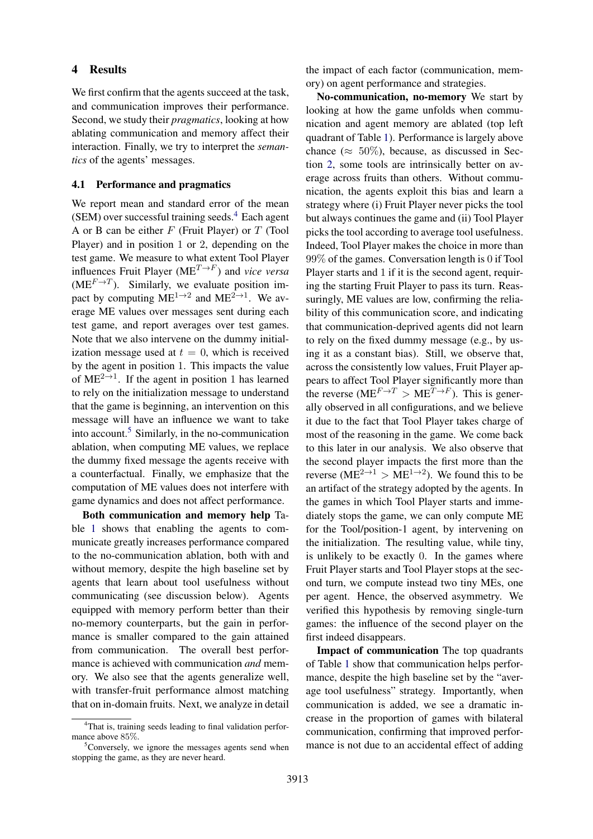### 4 Results

We first confirm that the agents succeed at the task, and communication improves their performance. Second, we study their *pragmatics*, looking at how ablating communication and memory affect their interaction. Finally, we try to interpret the *semantics* of the agents' messages.

## 4.1 Performance and pragmatics

We report mean and standard error of the mean (SEM) over successful training seeds. $4$  Each agent A or B can be either  $F$  (Fruit Player) or  $T$  (Tool Player) and in position 1 or 2, depending on the test game. We measure to what extent Tool Player influences Fruit Player ( $ME^{T\rightarrow F}$ ) and *vice versa* ( $ME<sup>F \to T</sup>$ ). Similarly, we evaluate position impact by computing  $ME^{1\rightarrow 2}$  and  $ME^{2\rightarrow 1}$ . We average ME values over messages sent during each test game, and report averages over test games. Note that we also intervene on the dummy initialization message used at  $t = 0$ , which is received by the agent in position 1. This impacts the value of ME<sup>2→1</sup>. If the agent in position 1 has learned to rely on the initialization message to understand that the game is beginning, an intervention on this message will have an influence we want to take into account.<sup>[5](#page-4-1)</sup> Similarly, in the no-communication ablation, when computing ME values, we replace the dummy fixed message the agents receive with a counterfactual. Finally, we emphasize that the computation of ME values does not interfere with game dynamics and does not affect performance.

Both communication and memory help Table [1](#page-5-0) shows that enabling the agents to communicate greatly increases performance compared to the no-communication ablation, both with and without memory, despite the high baseline set by agents that learn about tool usefulness without communicating (see discussion below). Agents equipped with memory perform better than their no-memory counterparts, but the gain in performance is smaller compared to the gain attained from communication. The overall best performance is achieved with communication *and* memory. We also see that the agents generalize well, with transfer-fruit performance almost matching that on in-domain fruits. Next, we analyze in detail

the impact of each factor (communication, memory) on agent performance and strategies.

No-communication, no-memory We start by looking at how the game unfolds when communication and agent memory are ablated (top left quadrant of Table [1\)](#page-5-0). Performance is largely above chance ( $\approx 50\%$ ), because, as discussed in Section [2,](#page-0-1) some tools are intrinsically better on average across fruits than others. Without communication, the agents exploit this bias and learn a strategy where (i) Fruit Player never picks the tool but always continues the game and (ii) Tool Player picks the tool according to average tool usefulness. Indeed, Tool Player makes the choice in more than 99% of the games. Conversation length is 0 if Tool Player starts and 1 if it is the second agent, requiring the starting Fruit Player to pass its turn. Reassuringly, ME values are low, confirming the reliability of this communication score, and indicating that communication-deprived agents did not learn to rely on the fixed dummy message (e.g., by using it as a constant bias). Still, we observe that, across the consistently low values, Fruit Player appears to affect Tool Player significantly more than the reverse ( $ME<sup>F \to T</sup> > ME<sup>T \to F</sup>$ ). This is generally observed in all configurations, and we believe it due to the fact that Tool Player takes charge of most of the reasoning in the game. We come back to this later in our analysis. We also observe that the second player impacts the first more than the reverse (ME<sup>2→1</sup> > ME<sup>1→2</sup>). We found this to be an artifact of the strategy adopted by the agents. In the games in which Tool Player starts and immediately stops the game, we can only compute ME for the Tool/position-1 agent, by intervening on the initialization. The resulting value, while tiny, is unlikely to be exactly 0. In the games where Fruit Player starts and Tool Player stops at the second turn, we compute instead two tiny MEs, one per agent. Hence, the observed asymmetry. We verified this hypothesis by removing single-turn games: the influence of the second player on the first indeed disappears.

Impact of communication The top quadrants of Table [1](#page-5-0) show that communication helps performance, despite the high baseline set by the "average tool usefulness" strategy. Importantly, when communication is added, we see a dramatic increase in the proportion of games with bilateral communication, confirming that improved performance is not due to an accidental effect of adding

<span id="page-4-0"></span><sup>&</sup>lt;sup>4</sup>That is, training seeds leading to final validation performance above 85%.

<span id="page-4-1"></span> ${}^{5}$ Conversely, we ignore the messages agents send when stopping the game, as they are never heard.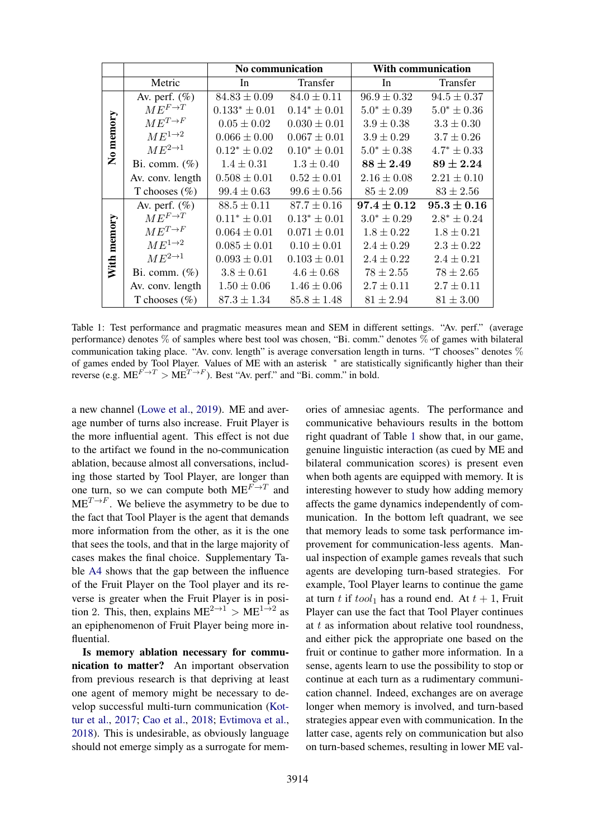<span id="page-5-0"></span>

|             |                       | No communication   |                   | <b>With communication</b> |                  |
|-------------|-----------------------|--------------------|-------------------|---------------------------|------------------|
|             | Metric                | In                 | Transfer          | In                        | Transfer         |
| No memory   | Av. perf. $(\%)$      | $84.83 \pm 0.09$   | $84.0 \pm 0.11$   | $96.9 \pm 0.32$           | $94.5 \pm 0.37$  |
|             | $ME^{F\rightarrow T}$ | $0.133^* \pm 0.01$ | $0.14^* \pm 0.01$ | $5.0^* \pm 0.39$          | $5.0^* \pm 0.36$ |
|             | $ME^{T\rightarrow F}$ | $0.05 \pm 0.02$    | $0.030 \pm 0.01$  | $3.9 \pm 0.38$            | $3.3 \pm 0.30$   |
|             | $ME^{1\rightarrow 2}$ | $0.066 \pm 0.00$   | $0.067 \pm 0.01$  | $3.9 \pm 0.29$            | $3.7 \pm 0.26$   |
|             | $ME^{2\rightarrow 1}$ | $0.12^* \pm 0.02$  | $0.10^* \pm 0.01$ | $5.0^* \pm 0.38$          | $4.7^* \pm 0.33$ |
|             | Bi. comm. $(\%)$      | $1.4 \pm 0.31$     | $1.3 \pm 0.40$    | $88 \pm 2.49$             | $89 \pm 2.24$    |
|             | Av. conv. length      | $0.508 \pm 0.01$   | $0.52 \pm 0.01$   | $2.16 \pm 0.08$           | $2.21 \pm 0.10$  |
|             | T chooses $(\%)$      | $99.4 \pm 0.63$    | $99.6 \pm 0.56$   | $85 \pm 2.09$             | $83 \pm 2.56$    |
| With memory | Av. perf. $(\%)$      | $88.5 \pm 0.11$    | $87.7 \pm 0.16$   | $97.4 \pm 0.12$           | $95.3 \pm 0.16$  |
|             | $ME^{F\rightarrow T}$ | $0.11^* \pm 0.01$  | $0.13^* \pm 0.01$ | $3.0^* \pm 0.29$          | $2.8^* \pm 0.24$ |
|             | $ME^{T\rightarrow F}$ | $0.064 \pm 0.01$   | $0.071 \pm 0.01$  | $1.8 \pm 0.22$            | $1.8 \pm 0.21$   |
|             | $ME^{1\rightarrow 2}$ | $0.085 \pm 0.01$   | $0.10 \pm 0.01$   | $2.4 \pm 0.29$            | $2.3 \pm 0.22$   |
|             | $ME^{2\rightarrow 1}$ | $0.093 \pm 0.01$   | $0.103 \pm 0.01$  | $2.4 \pm 0.22$            | $2.4 \pm 0.21$   |
|             | Bi. comm. $(\%)$      | $3.8 \pm 0.61$     | $4.6 \pm 0.68$    | $78 \pm 2.55$             | $78 \pm 2.65$    |
|             | Av. conv. length      | $1.50 \pm 0.06$    | $1.46 \pm 0.06$   | $2.7 \pm 0.11$            | $2.7 \pm 0.11$   |
|             | T chooses $(\%)$      | $87.3 \pm 1.34$    | $85.8 \pm 1.48$   | $81 \pm 2.94$             | $81 \pm 3.00$    |

Table 1: Test performance and pragmatic measures mean and SEM in different settings. "Av. perf." (average performance) denotes % of samples where best tool was chosen, "Bi. comm." denotes % of games with bilateral communication taking place. "Av. conv. length" is average conversation length in turns. "T chooses" denotes % of games ended by Tool Player. Values of ME with an asterisk \* are statistically significantly higher than their reverse (e.g.  $ME^{F \to T} > ME^{T \to F}$ ). Best "Av. perf." and "Bi. comm." in bold.

a new channel [\(Lowe et al.,](#page-9-0) [2019\)](#page-9-0). ME and average number of turns also increase. Fruit Player is the more influential agent. This effect is not due to the artifact we found in the no-communication ablation, because almost all conversations, including those started by Tool Player, are longer than one turn, so we can compute both  $ME^{F \rightarrow T}$  and  $ME^{T \rightarrow F}$ . We believe the asymmetry to be due to the fact that Tool Player is the agent that demands more information from the other, as it is the one that sees the tools, and that in the large majority of cases makes the final choice. Supplementary Table [A4](#page-6-0) shows that the gap between the influence of the Fruit Player on the Tool player and its reverse is greater when the Fruit Player is in position 2. This, then, explains  $ME^{2\to1} > ME^{1\to2}$  as an epiphenomenon of Fruit Player being more influential.

Is memory ablation necessary for communication to matter? An important observation from previous research is that depriving at least one agent of memory might be necessary to develop successful multi-turn communication [\(Kot](#page-8-2)[tur et al.,](#page-8-2) [2017;](#page-8-2) [Cao et al.,](#page-8-12) [2018;](#page-8-12) [Evtimova et al.,](#page-8-6) [2018\)](#page-8-6). This is undesirable, as obviously language should not emerge simply as a surrogate for memories of amnesiac agents. The performance and communicative behaviours results in the bottom right quadrant of Table [1](#page-5-0) show that, in our game, genuine linguistic interaction (as cued by ME and bilateral communication scores) is present even when both agents are equipped with memory. It is interesting however to study how adding memory affects the game dynamics independently of communication. In the bottom left quadrant, we see that memory leads to some task performance improvement for communication-less agents. Manual inspection of example games reveals that such agents are developing turn-based strategies. For example, Tool Player learns to continue the game at turn t if  $tool_1$  has a round end. At  $t + 1$ , Fruit Player can use the fact that Tool Player continues at  $t$  as information about relative tool roundness, and either pick the appropriate one based on the fruit or continue to gather more information. In a sense, agents learn to use the possibility to stop or continue at each turn as a rudimentary communication channel. Indeed, exchanges are on average longer when memory is involved, and turn-based strategies appear even with communication. In the latter case, agents rely on communication but also on turn-based schemes, resulting in lower ME val-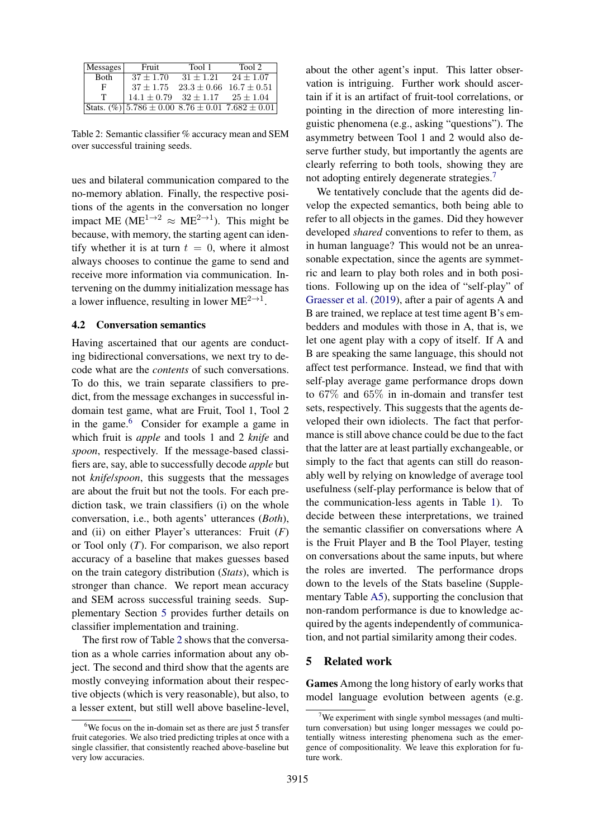<span id="page-6-0"></span>

| Messages    | Fruit                                       | Tool 1      | Tool 2                                              |
|-------------|---------------------------------------------|-------------|-----------------------------------------------------|
| <b>Both</b> | $37 + 1.70$                                 | $31 + 1.21$ | $24 + 1.07$                                         |
| Е           | $37 \pm 1.75$                               |             | $23.3 \pm 0.66$ $16.7 \pm 0.51$                     |
| т           | $14.1 \pm 0.79$ $32 \pm 1.17$ $25 \pm 1.04$ |             |                                                     |
|             |                                             |             | Stats. $(\%)$ 5.786 ± 0.00 8.76 ± 0.01 7.682 ± 0.01 |

Table 2: Semantic classifier % accuracy mean and SEM over successful training seeds.

ues and bilateral communication compared to the no-memory ablation. Finally, the respective positions of the agents in the conversation no longer impact ME (ME<sup>1→2</sup>  $\approx$  ME<sup>2→1</sup>). This might be because, with memory, the starting agent can identify whether it is at turn  $t = 0$ , where it almost always chooses to continue the game to send and receive more information via communication. Intervening on the dummy initialization message has a lower influence, resulting in lower  $ME^{2\rightarrow 1}$ .

#### 4.2 Conversation semantics

Having ascertained that our agents are conducting bidirectional conversations, we next try to decode what are the *contents* of such conversations. To do this, we train separate classifiers to predict, from the message exchanges in successful indomain test game, what are Fruit, Tool 1, Tool 2 in the game.<sup>[6](#page-6-1)</sup> Consider for example a game in which fruit is *apple* and tools 1 and 2 *knife* and *spoon*, respectively. If the message-based classifiers are, say, able to successfully decode *apple* but not *knife*/*spoon*, this suggests that the messages are about the fruit but not the tools. For each prediction task, we train classifiers (i) on the whole conversation, i.e., both agents' utterances (*Both*), and (ii) on either Player's utterances: Fruit (*F*) or Tool only (*T*). For comparison, we also report accuracy of a baseline that makes guesses based on the train category distribution (*Stats*), which is stronger than chance. We report mean accuracy and SEM across successful training seeds. Supplementary Section [5](#page-6-2) provides further details on classifier implementation and training.

The first row of Table [2](#page-6-0) shows that the conversation as a whole carries information about any object. The second and third show that the agents are mostly conveying information about their respective objects (which is very reasonable), but also, to a lesser extent, but still well above baseline-level, about the other agent's input. This latter observation is intriguing. Further work should ascertain if it is an artifact of fruit-tool correlations, or pointing in the direction of more interesting linguistic phenomena (e.g., asking "questions"). The asymmetry between Tool 1 and 2 would also deserve further study, but importantly the agents are clearly referring to both tools, showing they are not adopting entirely degenerate strategies.<sup>[7](#page-6-3)</sup>

We tentatively conclude that the agents did develop the expected semantics, both being able to refer to all objects in the games. Did they however developed *shared* conventions to refer to them, as in human language? This would not be an unreasonable expectation, since the agents are symmetric and learn to play both roles and in both positions. Following up on the idea of "self-play" of [Graesser et al.](#page-8-13) [\(2019\)](#page-8-13), after a pair of agents A and B are trained, we replace at test time agent B's embedders and modules with those in A, that is, we let one agent play with a copy of itself. If A and B are speaking the same language, this should not affect test performance. Instead, we find that with self-play average game performance drops down to 67% and 65% in in-domain and transfer test sets, respectively. This suggests that the agents developed their own idiolects. The fact that performance is still above chance could be due to the fact that the latter are at least partially exchangeable, or simply to the fact that agents can still do reasonably well by relying on knowledge of average tool usefulness (self-play performance is below that of the communication-less agents in Table [1\)](#page-5-0). To decide between these interpretations, we trained the semantic classifier on conversations where A is the Fruit Player and B the Tool Player, testing on conversations about the same inputs, but where the roles are inverted. The performance drops down to the levels of the Stats baseline (Supplementary Table [A5\)](#page-0-2), supporting the conclusion that non-random performance is due to knowledge acquired by the agents independently of communication, and not partial similarity among their codes.

#### <span id="page-6-2"></span>5 Related work

Games Among the long history of early works that model language evolution between agents (e.g.

<span id="page-6-1"></span> $6$ We focus on the in-domain set as there are just 5 transfer fruit categories. We also tried predicting triples at once with a single classifier, that consistently reached above-baseline but very low accuracies.

<span id="page-6-3"></span> $7$ We experiment with single symbol messages (and multiturn conversation) but using longer messages we could potentially witness interesting phenomena such as the emergence of compositionality. We leave this exploration for future work.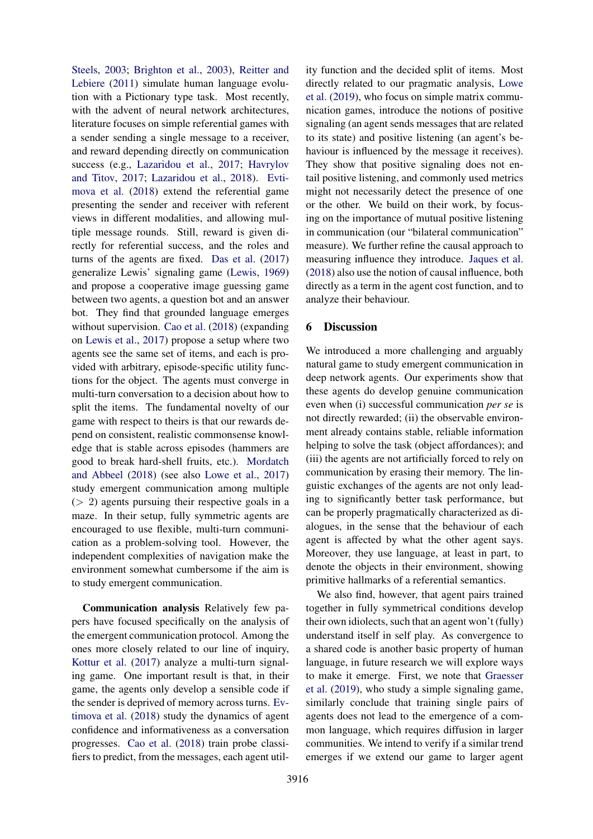[Steels,](#page-9-7) [2003;](#page-9-7) [Brighton et al.,](#page-8-14) [2003\)](#page-8-14), [Reitter and](#page-9-8) [Lebiere](#page-9-8) [\(2011\)](#page-9-8) simulate human language evolution with a Pictionary type task. Most recently, with the advent of neural network architectures, literature focuses on simple referential games with a sender sending a single message to a receiver, and reward depending directly on communication success (e.g., [Lazaridou et al.,](#page-8-3) [2017;](#page-8-3) [Havrylov](#page-8-1) [and Titov,](#page-8-1) [2017;](#page-8-1) [Lazaridou et al.,](#page-8-7) [2018\)](#page-8-7). [Evti](#page-8-6)[mova et al.](#page-8-6) [\(2018\)](#page-8-6) extend the referential game presenting the sender and receiver with referent views in different modalities, and allowing multiple message rounds. Still, reward is given directly for referential success, and the roles and turns of the agents are fixed. [Das et al.](#page-8-15) [\(2017\)](#page-8-15) generalize Lewis' signaling game [\(Lewis,](#page-8-9) [1969\)](#page-8-9) and propose a cooperative image guessing game between two agents, a question bot and an answer bot. They find that grounded language emerges without supervision. [Cao et al.](#page-8-12) [\(2018\)](#page-8-12) (expanding on [Lewis et al.,](#page-9-9) [2017\)](#page-9-9) propose a setup where two agents see the same set of items, and each is provided with arbitrary, episode-specific utility functions for the object. The agents must converge in multi-turn conversation to a decision about how to split the items. The fundamental novelty of our game with respect to theirs is that our rewards depend on consistent, realistic commonsense knowledge that is stable across episodes (hammers are good to break hard-shell fruits, etc.). [Mordatch](#page-9-10) [and Abbeel](#page-9-10) [\(2018\)](#page-9-10) (see also [Lowe et al.,](#page-9-11) [2017\)](#page-9-11) study emergent communication among multiple (> 2) agents pursuing their respective goals in a maze. In their setup, fully symmetric agents are encouraged to use flexible, multi-turn communication as a problem-solving tool. However, the independent complexities of navigation make the environment somewhat cumbersome if the aim is to study emergent communication.

Communication analysis Relatively few papers have focused specifically on the analysis of the emergent communication protocol. Among the ones more closely related to our line of inquiry, [Kottur et al.](#page-8-2) [\(2017\)](#page-8-2) analyze a multi-turn signaling game. One important result is that, in their game, the agents only develop a sensible code if the sender is deprived of memory across turns. [Ev](#page-8-6)[timova et al.](#page-8-6) [\(2018\)](#page-8-6) study the dynamics of agent confidence and informativeness as a conversation progresses. [Cao et al.](#page-8-12) [\(2018\)](#page-8-12) train probe classifiers to predict, from the messages, each agent util-

ity function and the decided split of items. Most directly related to our pragmatic analysis, [Lowe](#page-9-0) [et al.](#page-9-0) [\(2019\)](#page-9-0), who focus on simple matrix communication games, introduce the notions of positive signaling (an agent sends messages that are related to its state) and positive listening (an agent's behaviour is influenced by the message it receives). They show that positive signaling does not entail positive listening, and commonly used metrics might not necessarily detect the presence of one or the other. We build on their work, by focusing on the importance of mutual positive listening in communication (our "bilateral communication" measure). We further refine the causal approach to measuring influence they introduce. [Jaques et al.](#page-8-11) [\(2018\)](#page-8-11) also use the notion of causal influence, both directly as a term in the agent cost function, and to analyze their behaviour.

# 6 Discussion

We introduced a more challenging and arguably natural game to study emergent communication in deep network agents. Our experiments show that these agents do develop genuine communication even when (i) successful communication *per se* is not directly rewarded; (ii) the observable environment already contains stable, reliable information helping to solve the task (object affordances); and (iii) the agents are not artificially forced to rely on communication by erasing their memory. The linguistic exchanges of the agents are not only leading to significantly better task performance, but can be properly pragmatically characterized as dialogues, in the sense that the behaviour of each agent is affected by what the other agent says. Moreover, they use language, at least in part, to denote the objects in their environment, showing primitive hallmarks of a referential semantics.

We also find, however, that agent pairs trained together in fully symmetrical conditions develop their own idiolects, such that an agent won't (fully) understand itself in self play. As convergence to a shared code is another basic property of human language, in future research we will explore ways to make it emerge. First, we note that [Graesser](#page-8-13) [et al.](#page-8-13) [\(2019\)](#page-8-13), who study a simple signaling game, similarly conclude that training single pairs of agents does not lead to the emergence of a common language, which requires diffusion in larger communities. We intend to verify if a similar trend emerges if we extend our game to larger agent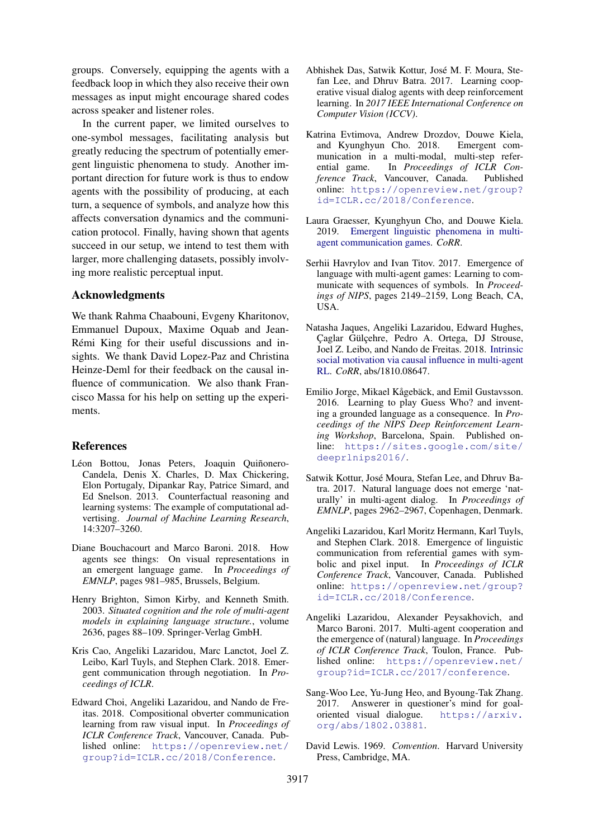groups. Conversely, equipping the agents with a feedback loop in which they also receive their own messages as input might encourage shared codes across speaker and listener roles.

In the current paper, we limited ourselves to one-symbol messages, facilitating analysis but greatly reducing the spectrum of potentially emergent linguistic phenomena to study. Another important direction for future work is thus to endow agents with the possibility of producing, at each turn, a sequence of symbols, and analyze how this affects conversation dynamics and the communication protocol. Finally, having shown that agents succeed in our setup, we intend to test them with larger, more challenging datasets, possibly involving more realistic perceptual input.

# Acknowledgments

We thank Rahma Chaabouni, Evgeny Kharitonov, Emmanuel Dupoux, Maxime Oquab and Jean-Rémi King for their useful discussions and insights. We thank David Lopez-Paz and Christina Heinze-Deml for their feedback on the causal influence of communication. We also thank Francisco Massa for his help on setting up the experiments.

## References

- <span id="page-8-10"></span>Léon Bottou, Jonas Peters, Joaquin Quiñonero-Candela, Denis X. Charles, D. Max Chickering, Elon Portugaly, Dipankar Ray, Patrice Simard, and Ed Snelson. 2013. Counterfactual reasoning and learning systems: The example of computational advertising. *Journal of Machine Learning Research*, 14:3207–3260.
- <span id="page-8-8"></span>Diane Bouchacourt and Marco Baroni. 2018. How agents see things: On visual representations in an emergent language game. In *Proceedings of EMNLP*, pages 981–985, Brussels, Belgium.
- <span id="page-8-14"></span>Henry Brighton, Simon Kirby, and Kenneth Smith. 2003. *Situated cognition and the role of multi-agent models in explaining language structure.*, volume 2636, pages 88–109. Springer-Verlag GmbH.
- <span id="page-8-12"></span>Kris Cao, Angeliki Lazaridou, Marc Lanctot, Joel Z. Leibo, Karl Tuyls, and Stephen Clark. 2018. Emergent communication through negotiation. In *Proceedings of ICLR*.
- <span id="page-8-5"></span>Edward Choi, Angeliki Lazaridou, and Nando de Freitas. 2018. Compositional obverter communication learning from raw visual input. In *Proceedings of ICLR Conference Track*, Vancouver, Canada. Published online: [https://openreview.net/](https://openreview.net/group?id=ICLR.cc/2018/Conference) [group?id=ICLR.cc/2018/Conference](https://openreview.net/group?id=ICLR.cc/2018/Conference).
- <span id="page-8-15"></span>Abhishek Das, Satwik Kottur, Jose M. F. Moura, Ste- ´ fan Lee, and Dhruv Batra. 2017. Learning cooperative visual dialog agents with deep reinforcement learning. In *2017 IEEE International Conference on Computer Vision (ICCV)*.
- <span id="page-8-6"></span>Katrina Evtimova, Andrew Drozdov, Douwe Kiela, and Kyunghyun Cho. 2018. Emergent communication in a multi-modal, multi-step refer-<br>ential game. In *Proceedings of ICLR Con*-In *Proceedings of ICLR Conference Track*, Vancouver, Canada. Published online: [https://openreview.net/group?](https://openreview.net/group?id=ICLR.cc/2018/Conference) [id=ICLR.cc/2018/Conference](https://openreview.net/group?id=ICLR.cc/2018/Conference).
- <span id="page-8-13"></span>Laura Graesser, Kyunghyun Cho, and Douwe Kiela. 2019. [Emergent linguistic phenomena in multi](https://arxiv.org/abs/1901.08706)[agent communication games.](https://arxiv.org/abs/1901.08706) *CoRR*.
- <span id="page-8-1"></span>Serhii Havrylov and Ivan Titov. 2017. Emergence of language with multi-agent games: Learning to communicate with sequences of symbols. In *Proceedings of NIPS*, pages 2149–2159, Long Beach, CA, USA.
- <span id="page-8-11"></span>Natasha Jaques, Angeliki Lazaridou, Edward Hughes, Caglar Gülcehre, Pedro A. Ortega, DJ Strouse, Joel Z. Leibo, and Nando de Freitas. 2018. [Intrinsic](http://arxiv.org/abs/1810.08647) [social motivation via causal influence in multi-agent](http://arxiv.org/abs/1810.08647) [RL.](http://arxiv.org/abs/1810.08647) *CoRR*, abs/1810.08647.
- <span id="page-8-0"></span>Emilio Jorge, Mikael Kågebäck, and Emil Gustavsson. 2016. Learning to play Guess Who? and inventing a grounded language as a consequence. In *Proceedings of the NIPS Deep Reinforcement Learning Workshop*, Barcelona, Spain. Published online: [https://sites.google.com/site/](https://sites.google.com/site/deeprlnips2016/) [deeprlnips2016/](https://sites.google.com/site/deeprlnips2016/).
- <span id="page-8-2"></span>Satwik Kottur, Jose Moura, Stefan Lee, and Dhruv Ba- ´ tra. 2017. Natural language does not emerge 'naturally' in multi-agent dialog. In *Proceedings of EMNLP*, pages 2962–2967, Copenhagen, Denmark.
- <span id="page-8-7"></span>Angeliki Lazaridou, Karl Moritz Hermann, Karl Tuyls, and Stephen Clark. 2018. Emergence of linguistic communication from referential games with symbolic and pixel input. In *Proceedings of ICLR Conference Track*, Vancouver, Canada. Published online: [https://openreview.net/group?](https://openreview.net/group?id=ICLR.cc/2018/Conference) [id=ICLR.cc/2018/Conference](https://openreview.net/group?id=ICLR.cc/2018/Conference).
- <span id="page-8-3"></span>Angeliki Lazaridou, Alexander Peysakhovich, and Marco Baroni. 2017. Multi-agent cooperation and the emergence of (natural) language. In *Proceedings of ICLR Conference Track*, Toulon, France. Published online: [https://openreview.net/](https://openreview.net/group?id=ICLR.cc/2017/conference) [group?id=ICLR.cc/2017/conference](https://openreview.net/group?id=ICLR.cc/2017/conference).
- <span id="page-8-4"></span>Sang-Woo Lee, Yu-Jung Heo, and Byoung-Tak Zhang. 2017. Answerer in questioner's mind for goaloriented visual dialogue. [https://arxiv.](https://arxiv.org/abs/1802.03881) [org/abs/1802.03881](https://arxiv.org/abs/1802.03881).
- <span id="page-8-9"></span>David Lewis. 1969. *Convention*. Harvard University Press, Cambridge, MA.